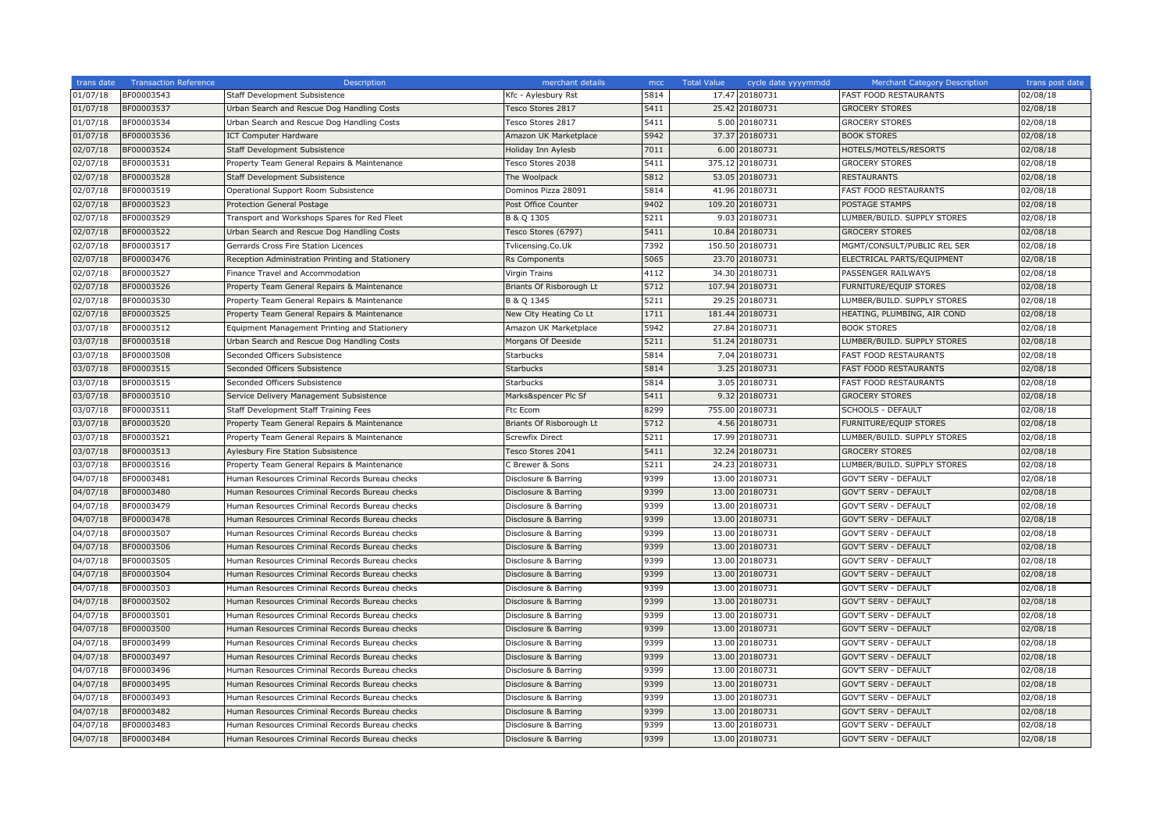| trans date | <b>Transaction Reference</b> | Description                                      | merchant details         | mcc  | <b>Total Value</b> | cycle date yyyymmdd | <b>Merchant Category Description</b> | trans post date |
|------------|------------------------------|--------------------------------------------------|--------------------------|------|--------------------|---------------------|--------------------------------------|-----------------|
| 01/07/18   | BF00003543                   | Staff Development Subsistence                    | Kfc - Aylesbury Rst      | 5814 |                    | 17.47 20180731      | FAST FOOD RESTAURANTS                | 02/08/18        |
| 01/07/18   | BF00003537                   | Urban Search and Rescue Dog Handling Costs       | Tesco Stores 2817        | 5411 |                    | 25.42 20180731      | <b>GROCERY STORES</b>                | 02/08/18        |
| 01/07/18   | BF00003534                   | Urban Search and Rescue Dog Handling Costs       | Tesco Stores 2817        | 5411 |                    | 5.00 20180731       | <b>GROCERY STORES</b>                | 02/08/18        |
| 01/07/18   | BF00003536                   | <b>ICT Computer Hardware</b>                     | Amazon UK Marketplace    | 5942 | 37.37              | 20180731            | <b>BOOK STORES</b>                   | 02/08/18        |
| 02/07/18   | BF00003524                   | Staff Development Subsistence                    | Holiday Inn Aylesb       | 7011 |                    | 6.00 20180731       | HOTELS/MOTELS/RESORTS                | 02/08/18        |
| 02/07/18   | BF00003531                   | Property Team General Repairs & Maintenance      | Tesco Stores 2038        | 5411 | 375.12             | 20180731            | <b>GROCERY STORES</b>                | 02/08/18        |
| 02/07/18   | BF00003528                   | <b>Staff Development Subsistence</b>             | The Woolpack             | 5812 |                    | 53.05 20180731      | <b>RESTAURANTS</b>                   | 02/08/18        |
| 02/07/18   | BF00003519                   | Operational Support Room Subsistence             | Dominos Pizza 28091      | 5814 | 41.96              | 20180731            | <b>FAST FOOD RESTAURANTS</b>         | 02/08/18        |
| 02/07/18   | BF00003523                   | <b>Protection General Postage</b>                | Post Office Counter      | 9402 |                    | 109.20 20180731     | POSTAGE STAMPS                       | 02/08/18        |
| 02/07/18   | BF00003529                   | Transport and Workshops Spares for Red Fleet     | B & Q 1305               | 5211 | 9.03               | 20180731            | LUMBER/BUILD. SUPPLY STORES          | 02/08/18        |
| 02/07/18   | BF00003522                   | Urban Search and Rescue Dog Handling Costs       | Tesco Stores (6797)      | 5411 | 10.84              | 20180731            | <b>GROCERY STORES</b>                | 02/08/18        |
| 2/07/18    | BF00003517                   | Gerrards Cross Fire Station Licences             | Tvlicensing.Co.Uk        | 7392 | 150.50             | 20180731            | MGMT/CONSULT/PUBLIC REL SER          | 02/08/18        |
| 02/07/18   | BF00003476                   | Reception Administration Printing and Stationery | Rs Components            | 5065 |                    | 23.70 20180731      | ELECTRICAL PARTS/EQUIPMENT           | 02/08/18        |
| 02/07/18   | BF00003527                   | Finance Travel and Accommodation                 | Virgin Trains            | 4112 | 34.30              | 20180731            | PASSENGER RAILWAYS                   | 02/08/18        |
| 02/07/18   | BF00003526                   | Property Team General Repairs & Maintenance      | Briants Of Risborough Lt | 5712 |                    | 107.94 20180731     | FURNITURE/EQUIP STORES               | 02/08/18        |
| 02/07/18   | BF00003530                   | Property Team General Repairs & Maintenance      | B & Q 1345               | 5211 |                    | 29.25 20180731      | LUMBER/BUILD. SUPPLY STORES          | 02/08/18        |
| 02/07/18   | BF00003525                   | Property Team General Repairs & Maintenance      | New City Heating Co Lt   | 1711 |                    | 181.44 20180731     | HEATING, PLUMBING, AIR COND          | 02/08/18        |
| 03/07/18   | BF00003512                   | Equipment Management Printing and Stationery     | Amazon UK Marketplace    | 5942 | 27.84              | 20180731            | <b>BOOK STORES</b>                   | 02/08/18        |
| 03/07/18   | BF00003518                   | Urban Search and Rescue Dog Handling Costs       | Morgans Of Deeside       | 5211 | 51.24              | 20180731            | LUMBER/BUILD. SUPPLY STORES          | 02/08/18        |
| 03/07/18   | BF00003508                   | Seconded Officers Subsistence                    | <b>Starbucks</b>         | 5814 | 7.04               | 20180731            | <b>FAST FOOD RESTAURANTS</b>         | 02/08/18        |
| 03/07/18   | BF00003515                   | Seconded Officers Subsistence                    | <b>Starbucks</b>         | 5814 |                    | 3.25 20180731       | <b>FAST FOOD RESTAURANTS</b>         | 02/08/18        |
| 03/07/18   | BF00003515                   | Seconded Officers Subsistence                    | <b>Starbucks</b>         | 5814 |                    | 3.05 20180731       | FAST FOOD RESTAURANTS                | 02/08/18        |
| 03/07/18   | BF00003510                   | Service Delivery Management Subsistence          | Marks&spencer Plc Sf     | 5411 | 9.32               | 20180731            | <b>GROCERY STORES</b>                | 02/08/18        |
| 03/07/18   | BF00003511                   | Staff Development Staff Training Fees            | Ftc Ecom                 | 8299 |                    | 755.00 20180731     | SCHOOLS - DEFAULT                    | 02/08/18        |
| 03/07/18   | BF00003520                   | Property Team General Repairs & Maintenance      | Briants Of Risborough Lt | 5712 |                    | 4.56 20180731       | FURNITURE/EQUIP STORES               | 02/08/18        |
| 03/07/18   | BF00003521                   | Property Team General Repairs & Maintenance      | Screwfix Direct          | 5211 | 17.99              | 20180731            | LUMBER/BUILD. SUPPLY STORES          | 02/08/18        |
| 03/07/18   | BF00003513                   | Aylesbury Fire Station Subsistence               | Tesco Stores 2041        | 5411 | 32.24              | 20180731            | <b>GROCERY STORES</b>                | 02/08/18        |
| 03/07/18   | BF00003516                   | Property Team General Repairs & Maintenance      | C Brewer & Sons          | 5211 | 24.23              | 20180731            | LUMBER/BUILD. SUPPLY STORES          | 02/08/18        |
| 04/07/18   | BF00003481                   | Human Resources Criminal Records Bureau checks   | Disclosure & Barring     | 9399 | 13.00              | 20180731            | GOV'T SERV - DEFAULT                 | 02/08/18        |
| 04/07/18   | BF00003480                   | Human Resources Criminal Records Bureau checks   | Disclosure & Barring     | 9399 |                    | 13.00 20180731      | <b>GOV'T SERV - DEFAULT</b>          | 02/08/18        |
| 04/07/18   | BF00003479                   | Human Resources Criminal Records Bureau checks   | Disclosure & Barring     | 9399 |                    | 13.00 20180731      | GOV'T SERV - DEFAULT                 | 02/08/18        |
| 04/07/18   | BF00003478                   | Human Resources Criminal Records Bureau checks   | Disclosure & Barring     | 9399 |                    | 13.00 20180731      | <b>GOV'T SERV - DEFAULT</b>          | 02/08/18        |
| 04/07/18   | BF00003507                   | Human Resources Criminal Records Bureau checks   | Disclosure & Barring     | 9399 |                    | 13.00 20180731      | GOV'T SERV - DEFAULT                 | 02/08/18        |
| 04/07/18   | BF00003506                   | Human Resources Criminal Records Bureau checks   | Disclosure & Barring     | 9399 | 13.00              | 20180731            | <b>GOV'T SERV - DEFAULT</b>          | 02/08/18        |
| 04/07/18   | BF00003505                   | Human Resources Criminal Records Bureau checks   | Disclosure & Barring     | 9399 | 13.00              | 20180731            | GOV'T SERV - DEFAULT                 | 02/08/18        |
| 04/07/18   | BF00003504                   | Human Resources Criminal Records Bureau checks   | Disclosure & Barring     | 9399 | 13.00              | 20180731            | <b>GOV'T SERV - DEFAULT</b>          | 02/08/18        |
| 04/07/18   | BF00003503                   | Human Resources Criminal Records Bureau checks   | Disclosure & Barring     | 9399 | 13.00              | 20180731            | <b>GOV'T SERV - DEFAULT</b>          | 02/08/18        |
| 04/07/18   | BF00003502                   | Human Resources Criminal Records Bureau checks   | Disclosure & Barring     | 9399 | 13.00              | 20180731            | GOV'T SERV - DEFAULT                 | 02/08/18        |
| 04/07/18   | BF00003501                   | Human Resources Criminal Records Bureau checks   | Disclosure & Barring     | 9399 | 13.00              | 20180731            | <b>GOV'T SERV - DEFAULT</b>          | 02/08/18        |
| 04/07/18   | BF00003500                   | Human Resources Criminal Records Bureau checks   | Disclosure & Barring     | 9399 | 13.00              | 20180731            | GOV'T SERV - DEFAULT                 | 02/08/18        |
| 04/07/18   | BF00003499                   | Human Resources Criminal Records Bureau checks   | Disclosure & Barring     | 9399 | 13.00              | 20180731            | <b>GOV'T SERV - DEFAULT</b>          | 02/08/18        |
| 04/07/18   | BF00003497                   | Human Resources Criminal Records Bureau checks   | Disclosure & Barring     | 9399 | 13.00              | 20180731            | <b>GOV'T SERV - DEFAULT</b>          | 02/08/18        |
| 04/07/18   | BF00003496                   | Human Resources Criminal Records Bureau checks   | Disclosure & Barring     | 9399 | 13.00              | 20180731            | GOV'T SERV - DEFAULT                 | 02/08/18        |
| 04/07/18   | BF00003495                   | Human Resources Criminal Records Bureau checks   | Disclosure & Barring     | 9399 | 13.00              | 20180731            | <b>GOV'T SERV - DEFAULT</b>          | 02/08/18        |
| 04/07/18   | BF00003493                   | Human Resources Criminal Records Bureau checks   | Disclosure & Barring     | 9399 |                    | 13.00 20180731      | GOV'T SERV - DEFAULT                 | 02/08/18        |
| 04/07/18   | BF00003482                   | Human Resources Criminal Records Bureau checks   | Disclosure & Barring     | 9399 |                    | 13.00 20180731      | <b>GOV'T SERV - DEFAULT</b>          | 02/08/18        |
| 04/07/18   | BF00003483                   | Human Resources Criminal Records Bureau checks   | Disclosure & Barring     | 9399 | 13.00              | 20180731            | GOV'T SERV - DEFAULT                 | 02/08/18        |
| 04/07/18   | BF00003484                   | Human Resources Criminal Records Bureau checks   | Disclosure & Barring     | 9399 |                    | 13.00 20180731      | <b>GOV'T SERV - DEFAULT</b>          | 02/08/18        |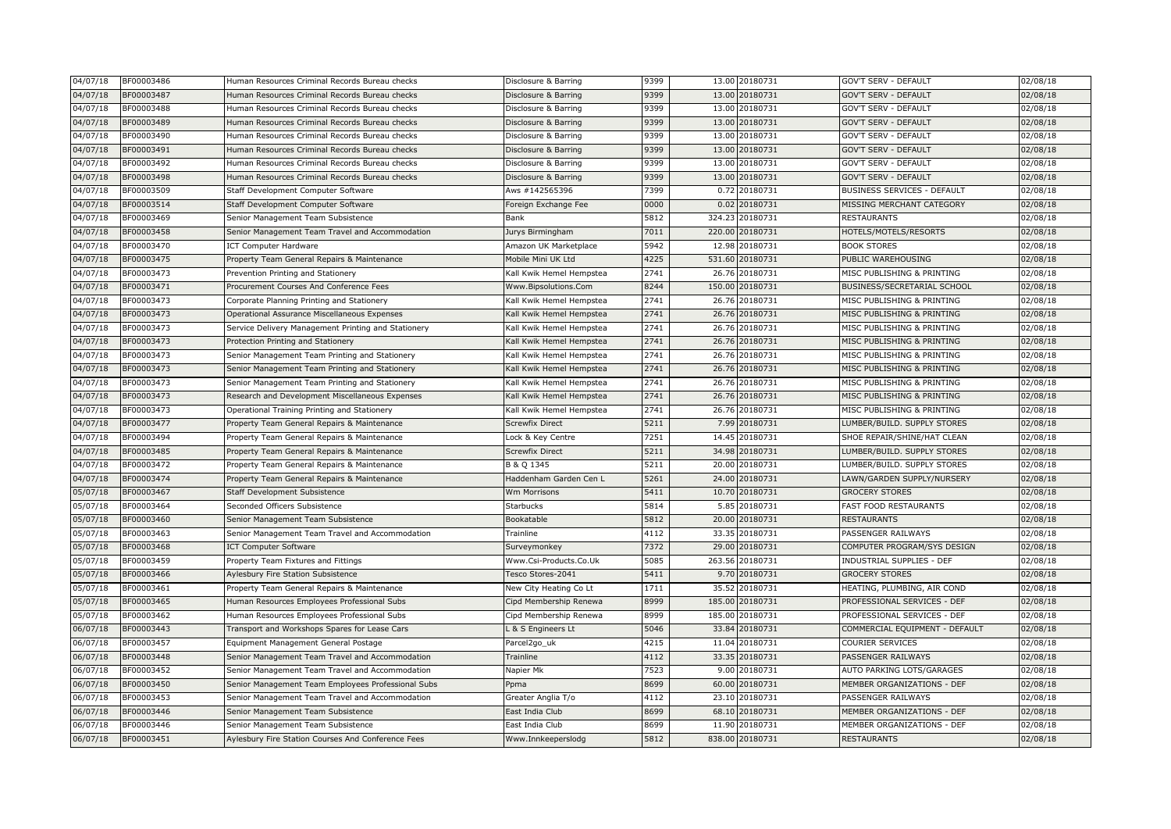| 04/07/18 | BF00003486 | Human Resources Criminal Records Bureau checks      | Disclosure & Barring     | 9399 | 13.00 20180731    | GOV'T SERV - DEFAULT           | 02/08/18 |
|----------|------------|-----------------------------------------------------|--------------------------|------|-------------------|--------------------------------|----------|
| 04/07/18 | BF00003487 | Human Resources Criminal Records Bureau checks      | Disclosure & Barring     | 9399 | 13.00 20180731    | <b>GOV'T SERV - DEFAULT</b>    | 02/08/18 |
| 04/07/18 | BF00003488 | Human Resources Criminal Records Bureau checks      | Disclosure & Barring     | 9399 | 13.00 20180731    | GOV'T SERV - DEFAULT           | 02/08/18 |
| 04/07/18 | BF00003489 | Human Resources Criminal Records Bureau checks      | Disclosure & Barring     | 9399 | 13.00 20180731    | <b>GOV'T SERV - DEFAULT</b>    | 02/08/18 |
| 04/07/18 | BF00003490 | Human Resources Criminal Records Bureau checks      | Disclosure & Barring     | 9399 | 13.00 20180731    | <b>GOV'T SERV - DEFAULT</b>    | 02/08/18 |
| 04/07/18 | 3F00003491 | Human Resources Criminal Records Bureau checks      | Disclosure & Barring     | 9399 | 13.00 20180731    | <b>GOV'T SERV - DEFAULT</b>    | 02/08/18 |
| 04/07/18 | BF00003492 | Human Resources Criminal Records Bureau checks      | Disclosure & Barring     | 9399 | 13.00 20180731    | <b>GOV'T SERV - DEFAULT</b>    | 02/08/18 |
| 04/07/18 | 3F00003498 | Human Resources Criminal Records Bureau checks      | Disclosure & Barring     | 9399 | 13.00 20180731    | <b>GOV'T SERV - DEFAULT</b>    | 02/08/18 |
| 04/07/18 | BF00003509 | Staff Development Computer Software                 | Aws #142565396           | 7399 | 0.72 20180731     | BUSINESS SERVICES - DEFAULT    | 02/08/18 |
| 04/07/18 | 3F00003514 | Staff Development Computer Software                 | Foreign Exchange Fee     | 0000 | 0.02 20180731     | MISSING MERCHANT CATEGORY      | 02/08/18 |
| 04/07/18 | BF00003469 | Senior Management Team Subsistence                  | Bank                     | 5812 | 324.23 20180731   | <b>RESTAURANTS</b>             | 02/08/18 |
| 04/07/18 | BF00003458 | Senior Management Team Travel and Accommodation     | Jurys Birmingham         | 7011 | 220.00 20180731   | HOTELS/MOTELS/RESORTS          | 02/08/18 |
| 04/07/18 | 3F00003470 | <b>ICT Computer Hardware</b>                        | Amazon UK Marketplace    | 5942 | 12.98 20180731    | <b>BOOK STORES</b>             | 02/08/18 |
| 04/07/18 | BF00003475 | Property Team General Repairs & Maintenance         | Mobile Mini UK Ltd       | 4225 | 531.60 20180731   | PUBLIC WAREHOUSING             | 02/08/18 |
| 04/07/18 | BF00003473 | Prevention Printing and Stationery                  | Kall Kwik Hemel Hempstea | 2741 | 26.76 20180731    | MISC PUBLISHING & PRINTING     | 02/08/18 |
| 04/07/18 | 3F00003471 | Procurement Courses And Conference Fees             | Www.Bipsolutions.Com     | 8244 | 150.00 20180731   | BUSINESS/SECRETARIAL SCHOOL    | 02/08/18 |
| 04/07/18 | BF00003473 | Corporate Planning Printing and Stationery          | Kall Kwik Hemel Hempstea | 2741 | 26.76 20180731    | MISC PUBLISHING & PRINTING     | 02/08/18 |
| 04/07/18 | BF00003473 | Operational Assurance Miscellaneous Expenses        | Kall Kwik Hemel Hempstea | 2741 | 26.76 20180731    | MISC PUBLISHING & PRINTING     | 02/08/18 |
| 04/07/18 | BF00003473 | Service Delivery Management Printing and Stationery | Kall Kwik Hemel Hempstea | 2741 | 26.76 20180731    | MISC PUBLISHING & PRINTING     | 02/08/18 |
| 04/07/18 | BF00003473 | Protection Printing and Stationery                  | Kall Kwik Hemel Hempstea | 2741 | 26.76 20180731    | MISC PUBLISHING & PRINTING     | 02/08/18 |
| 04/07/18 | BF00003473 | Senior Management Team Printing and Stationery      | Kall Kwik Hemel Hempstea | 2741 | 26.76 20180731    | MISC PUBLISHING & PRINTING     | 02/08/18 |
| 04/07/18 | BF00003473 | Senior Management Team Printing and Stationery      | Kall Kwik Hemel Hempstea | 2741 | 26.76 20180731    | MISC PUBLISHING & PRINTING     | 02/08/18 |
| 04/07/18 | BF00003473 | Senior Management Team Printing and Stationery      | Kall Kwik Hemel Hempstea | 2741 | 26.76 20180731    | MISC PUBLISHING & PRINTING     | 02/08/18 |
| 04/07/18 | BF00003473 | Research and Development Miscellaneous Expenses     | Kall Kwik Hemel Hempstea | 2741 | 26.76 20180731    | MISC PUBLISHING & PRINTING     | 02/08/18 |
| 04/07/18 | BF00003473 | Operational Training Printing and Stationery        | Kall Kwik Hemel Hempstea | 2741 | 26.76 20180731    | MISC PUBLISHING & PRINTING     | 02/08/18 |
| 04/07/18 | BF00003477 | Property Team General Repairs & Maintenance         | <b>Screwfix Direct</b>   | 5211 | 7.99 20180731     | LUMBER/BUILD. SUPPLY STORES    | 02/08/18 |
| 04/07/18 | BF00003494 | Property Team General Repairs & Maintenance         | Lock & Key Centre        | 7251 | 14.45 20180731    | SHOE REPAIR/SHINE/HAT CLEAN    | 02/08/18 |
| 04/07/18 | BF00003485 | Property Team General Repairs & Maintenance         | <b>Screwfix Direct</b>   | 5211 | 34.98 20180731    | LUMBER/BUILD. SUPPLY STORES    | 02/08/18 |
| 04/07/18 | BF00003472 | Property Team General Repairs & Maintenance         | B & Q 1345               | 5211 | 20.00 20180731    | LUMBER/BUILD. SUPPLY STORES    | 02/08/18 |
| 04/07/18 | BF00003474 | Property Team General Repairs & Maintenance         | Haddenham Garden Cen L   | 5261 | 24.00 20180731    | LAWN/GARDEN SUPPLY/NURSERY     | 02/08/18 |
| 05/07/18 | BF00003467 | Staff Development Subsistence                       | Wm Morrisons             | 5411 | 10.70 20180731    | <b>GROCERY STORES</b>          | 02/08/18 |
| 05/07/18 | BF00003464 | Seconded Officers Subsistence                       | Starbucks                | 5814 | 5.85 20180731     | FAST FOOD RESTAURANTS          | 02/08/18 |
| 05/07/18 | BF00003460 | Senior Management Team Subsistence                  | Bookatable               | 5812 | 20.00 20180731    | <b>RESTAURANTS</b>             | 02/08/18 |
| 05/07/18 | BF00003463 | Senior Management Team Travel and Accommodation     | Trainline                | 4112 | 33.35 20180731    | PASSENGER RAILWAYS             | 02/08/18 |
| 05/07/18 | BF00003468 | <b>ICT Computer Software</b>                        | Surveymonkey             | 7372 | 29.00 20180731    | COMPUTER PROGRAM/SYS DESIGN    | 02/08/18 |
| 05/07/18 | BF00003459 | Property Team Fixtures and Fittings                 | Www.Csi-Products.Co.Uk   | 5085 | 263.56 20180731   | INDUSTRIAL SUPPLIES - DEF      | 02/08/18 |
| 05/07/18 | BF00003466 | Aylesbury Fire Station Subsistence                  | Tesco Stores-2041        | 5411 | 9.70 20180731     | <b>GROCERY STORES</b>          | 02/08/18 |
| 05/07/18 | BF00003461 | Property Team General Repairs & Maintenance         | New City Heating Co Lt   | 1711 | 35.52 20180731    | HEATING, PLUMBING, AIR COND    | 02/08/18 |
| 05/07/18 | BF00003465 | Human Resources Employees Professional Subs         | Cipd Membership Renewa   | 8999 | 185.00 20180731   | PROFESSIONAL SERVICES - DEF    | 02/08/18 |
| 05/07/18 | BF00003462 | Human Resources Employees Professional Subs         | Cipd Membership Renewa   | 8999 | 185.00 20180731   | PROFESSIONAL SERVICES - DEF    | 02/08/18 |
| 06/07/18 | BF00003443 | Transport and Workshops Spares for Lease Cars       | L & S Engineers Lt       | 5046 | 33.84 20180731    | COMMERCIAL EQUIPMENT - DEFAULT | 02/08/18 |
| 06/07/18 | BF00003457 | Equipment Management General Postage                | Parcel2go_uk             | 4215 | 11.04 20180731    | <b>COURIER SERVICES</b>        | 02/08/18 |
| 06/07/18 | BF00003448 | Senior Management Team Travel and Accommodation     | Trainline                | 4112 | 33.35 20180731    | PASSENGER RAILWAYS             | 02/08/18 |
| 06/07/18 | BF00003452 | Senior Management Team Travel and Accommodation     | Napier Mk                | 7523 | 9.00 20180731     | AUTO PARKING LOTS/GARAGES      | 02/08/18 |
| 06/07/18 | BF00003450 | Senior Management Team Employees Professional Subs  | Ppma                     | 8699 | 60.00 20180731    | MEMBER ORGANIZATIONS - DEF     | 02/08/18 |
| 06/07/18 | BF00003453 | Senior Management Team Travel and Accommodation     | Greater Anglia T/o       | 4112 | 23.10 20180731    | PASSENGER RAILWAYS             | 02/08/18 |
| 06/07/18 | BF00003446 | Senior Management Team Subsistence                  | East India Club          | 8699 | 68.10<br>20180731 | MEMBER ORGANIZATIONS - DEF     | 02/08/18 |
| 06/07/18 | BF00003446 | Senior Management Team Subsistence                  | East India Club          | 8699 | 11.90 20180731    | MEMBER ORGANIZATIONS - DEF     | 02/08/18 |
| 06/07/18 | BF00003451 | Aylesbury Fire Station Courses And Conference Fees  | Www.Innkeeperslodg       | 5812 | 838.00 20180731   | RESTAURANTS                    | 02/08/18 |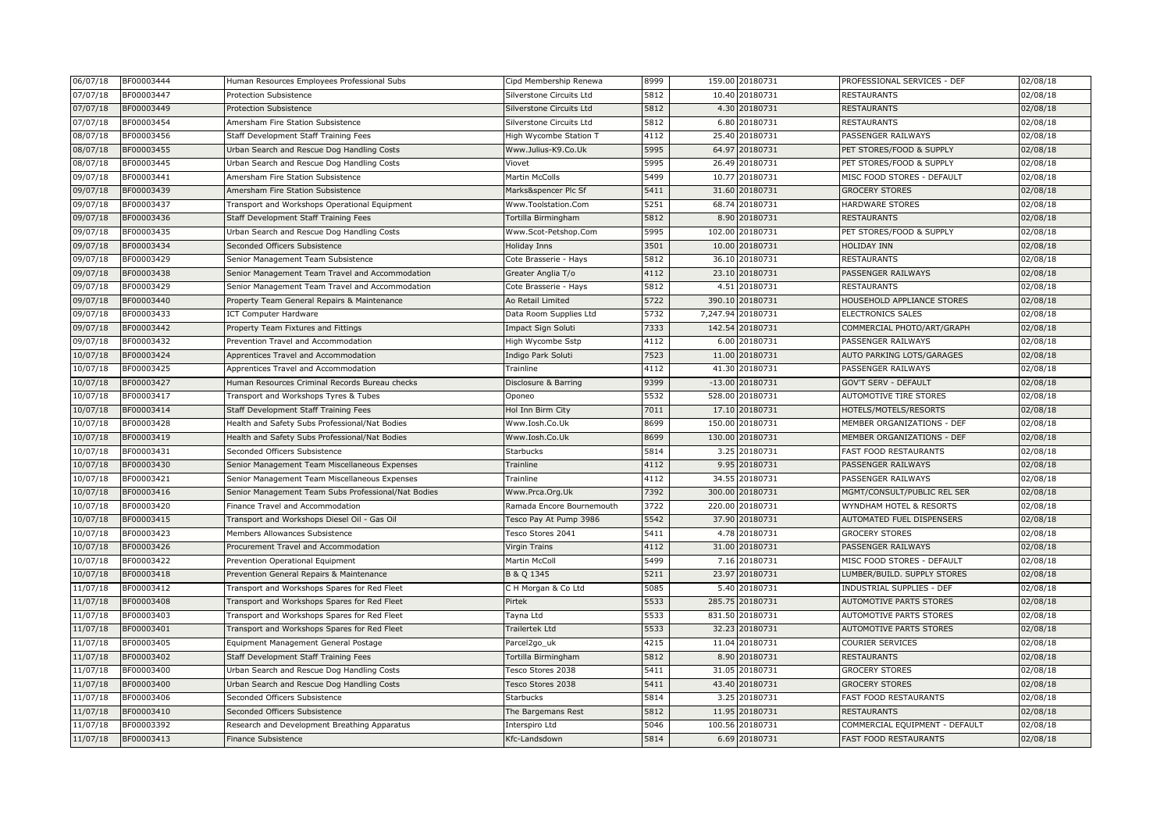| 06/07/18 | BF00003444 | Human Resources Employees Professional Subs         | Cipd Membership Renewa    | 8999 |        | 159.00 20180731   | PROFESSIONAL SERVICES - DEF      | 02/08/18 |
|----------|------------|-----------------------------------------------------|---------------------------|------|--------|-------------------|----------------------------------|----------|
| 07/07/18 | BF00003447 | Protection Subsistence                              | Silverstone Circuits Ltd  | 5812 |        | 10.40 20180731    | <b>RESTAURANTS</b>               | 02/08/18 |
| 07/07/18 | BF00003449 | <b>Protection Subsistence</b>                       | Silverstone Circuits Ltd  | 5812 |        | 4.30 20180731     | <b>RESTAURANTS</b>               | 02/08/18 |
| 07/07/18 | BF00003454 | Amersham Fire Station Subsistence                   | Silverstone Circuits Ltd  | 5812 |        | 6.80 20180731     | <b>RESTAURANTS</b>               | 02/08/18 |
| 08/07/18 | BF00003456 | Staff Development Staff Training Fees               | High Wycombe Station T    | 4112 |        | 25.40 20180731    | PASSENGER RAILWAYS               | 02/08/18 |
| 08/07/18 | BF00003455 | Urban Search and Rescue Dog Handling Costs          | Www.Julius-K9.Co.Uk       | 5995 |        | 64.97 20180731    | PET STORES/FOOD & SUPPLY         | 02/08/18 |
| 08/07/18 | BF00003445 | Urban Search and Rescue Dog Handling Costs          | Viovet                    | 5995 |        | 26.49 20180731    | PET STORES/FOOD & SUPPLY         | 02/08/18 |
| 09/07/18 | BF00003441 | Amersham Fire Station Subsistence                   | Martin McColls            | 5499 |        | 10.77 20180731    | MISC FOOD STORES - DEFAULT       | 02/08/18 |
| 09/07/18 | BF00003439 | Amersham Fire Station Subsistence                   | Marks&spencer Plc Sf      | 5411 |        | 31.60 20180731    | <b>GROCERY STORES</b>            | 02/08/18 |
| 09/07/18 | BF00003437 | Transport and Workshops Operational Equipment       | Www.Toolstation.Com       | 5251 |        | 68.74 20180731    | <b>HARDWARE STORES</b>           | 02/08/18 |
| 99/07/18 | BF00003436 | Staff Development Staff Training Fees               | Tortilla Birmingham       | 5812 |        | 8.90 20180731     | <b>RESTAURANTS</b>               | 02/08/18 |
| 09/07/18 | BF00003435 | Urban Search and Rescue Dog Handling Costs          | Www.Scot-Petshop.Com      | 5995 |        | 102.00 20180731   | PET STORES/FOOD & SUPPLY         | 02/08/18 |
| 99/07/18 | BF00003434 | Seconded Officers Subsistence                       | Holiday Inns              | 3501 |        | 10.00 20180731    | <b>HOLIDAY INN</b>               | 02/08/18 |
| 09/07/18 | BF00003429 | Senior Management Team Subsistence                  | Cote Brasserie - Hays     | 5812 |        | 36.10 20180731    | <b>RESTAURANTS</b>               | 02/08/18 |
| 09/07/18 | BF00003438 | Senior Management Team Travel and Accommodation     | Greater Anglia T/o        | 4112 |        | 23.10 20180731    | PASSENGER RAILWAYS               | 02/08/18 |
| 09/07/18 | BF00003429 | Senior Management Team Travel and Accommodation     | Cote Brasserie - Hays     | 5812 |        | 4.51 20180731     | <b>RESTAURANTS</b>               | 02/08/18 |
| 09/07/18 | BF00003440 | Property Team General Repairs & Maintenance         | Ao Retail Limited         | 5722 |        | 390.10 20180731   | HOUSEHOLD APPLIANCE STORES       | 02/08/18 |
| 09/07/18 | BF00003433 | <b>ICT Computer Hardware</b>                        | Data Room Supplies Ltd    | 5732 |        | 7,247.94 20180731 | ELECTRONICS SALES                | 02/08/18 |
| 09/07/18 | BF00003442 | Property Team Fixtures and Fittings                 | Impact Sign Soluti        | 7333 |        | 142.54 20180731   | COMMERCIAL PHOTO/ART/GRAPH       | 02/08/18 |
| 09/07/18 | BF00003432 | Prevention Travel and Accommodation                 | High Wycombe Sstp         | 4112 |        | 6.00 20180731     | PASSENGER RAILWAYS               | 02/08/18 |
| 10/07/18 | BF00003424 | Apprentices Travel and Accommodation                | Indigo Park Soluti        | 7523 |        | 11.00 20180731    | AUTO PARKING LOTS/GARAGES        | 02/08/18 |
| 10/07/18 | BF00003425 | Apprentices Travel and Accommodation                | Trainline                 | 4112 |        | 41.30 20180731    | PASSENGER RAILWAYS               | 02/08/18 |
| 10/07/18 | BF00003427 | Human Resources Criminal Records Bureau checks      | Disclosure & Barring      | 9399 |        | -13.00 20180731   | <b>GOV'T SERV - DEFAULT</b>      | 02/08/18 |
| 10/07/18 | BF00003417 | Transport and Workshops Tyres & Tubes               | Oponeo                    | 5532 |        | 528.00 20180731   | AUTOMOTIVE TIRE STORES           | 02/08/18 |
| 10/07/18 | BF00003414 | Staff Development Staff Training Fees               | Hol Inn Birm City         | 7011 |        | 17.10 20180731    | HOTELS/MOTELS/RESORTS            | 02/08/18 |
| 10/07/18 | BF00003428 | Health and Safety Subs Professional/Nat Bodies      | Www.Iosh.Co.Uk            | 8699 | 150.00 | 20180731          | MEMBER ORGANIZATIONS - DEF       | 02/08/18 |
| 10/07/18 | BF00003419 | Health and Safety Subs Professional/Nat Bodies      | Www.Iosh.Co.Uk            | 8699 |        | 130.00 20180731   | MEMBER ORGANIZATIONS - DEF       | 02/08/18 |
| 10/07/18 | BF00003431 | Seconded Officers Subsistence                       | Starbucks                 | 5814 |        | 3.25 20180731     | FAST FOOD RESTAURANTS            | 02/08/18 |
| 10/07/18 | BF00003430 | Senior Management Team Miscellaneous Expenses       | Trainline                 | 4112 |        | 9.95 20180731     | PASSENGER RAILWAYS               | 02/08/18 |
| 10/07/18 | BF00003421 | Senior Management Team Miscellaneous Expenses       | Trainline                 | 4112 |        | 34.55 20180731    | PASSENGER RAILWAYS               | 02/08/18 |
| 10/07/18 | BF00003416 | Senior Management Team Subs Professional/Nat Bodies | Www.Prca.Org.Uk           | 7392 |        | 300.00 20180731   | MGMT/CONSULT/PUBLIC REL SER      | 02/08/18 |
| 10/07/18 | BF00003420 | Finance Travel and Accommodation                    | Ramada Encore Bournemouth | 3722 |        | 220.00 20180731   | WYNDHAM HOTEL & RESORTS          | 02/08/18 |
| 10/07/18 | BF00003415 | Transport and Workshops Diesel Oil - Gas Oil        | Tesco Pay At Pump 3986    | 5542 |        | 37.90 20180731    | AUTOMATED FUEL DISPENSERS        | 02/08/18 |
| 10/07/18 | BF00003423 | Members Allowances Subsistence                      | Tesco Stores 2041         | 5411 |        | 4.78 20180731     | <b>GROCERY STORES</b>            | 02/08/18 |
| 10/07/18 | BF00003426 | Procurement Travel and Accommodation                | Virgin Trains             | 4112 |        | 31.00 20180731    | PASSENGER RAILWAYS               | 02/08/18 |
| 10/07/18 | BF00003422 | Prevention Operational Equipment                    | Martin McColl             | 5499 |        | 7.16 20180731     | MISC FOOD STORES - DEFAULT       | 02/08/18 |
| 10/07/18 | BF00003418 | Prevention General Repairs & Maintenance            | B & Q 1345                | 5211 |        | 23.97 20180731    | LUMBER/BUILD. SUPPLY STORES      | 02/08/18 |
| 11/07/18 | BF00003412 | Transport and Workshops Spares for Red Fleet        | C H Morgan & Co Ltd       | 5085 |        | 5.40 20180731     | <b>INDUSTRIAL SUPPLIES - DEF</b> | 02/08/18 |
| 11/07/18 | BF00003408 | Transport and Workshops Spares for Red Fleet        | Pirtek                    | 5533 |        | 285.75 20180731   | AUTOMOTIVE PARTS STORES          | 02/08/18 |
| 11/07/18 | BF00003403 | Transport and Workshops Spares for Red Fleet        | Tayna Ltd                 | 5533 |        | 831.50 20180731   | AUTOMOTIVE PARTS STORES          | 02/08/18 |
| 11/07/18 | BF00003401 | Transport and Workshops Spares for Red Fleet        | Trailertek Ltd            | 5533 |        | 32.23 20180731    | <b>AUTOMOTIVE PARTS STORES</b>   | 02/08/18 |
| 11/07/18 | BF00003405 | Equipment Management General Postage                | Parcel <sub>2go_uk</sub>  | 4215 |        | 11.04 20180731    | <b>COURIER SERVICES</b>          | 02/08/18 |
| 11/07/18 | BF00003402 | Staff Development Staff Training Fees               | Tortilla Birmingham       | 5812 |        | 8.90 20180731     | <b>RESTAURANTS</b>               | 02/08/18 |
| 11/07/18 | BF00003400 | Urban Search and Rescue Dog Handling Costs          | Tesco Stores 2038         | 5411 | 31.05  | 20180731          | <b>GROCERY STORES</b>            | 02/08/18 |
| 11/07/18 | BF00003400 | Urban Search and Rescue Dog Handling Costs          | <b>Tesco Stores 2038</b>  | 5411 |        | 43.40 20180731    | <b>GROCERY STORES</b>            | 02/08/18 |
| 11/07/18 | BF00003406 | Seconded Officers Subsistence                       | <b>Starbucks</b>          | 5814 |        | 3.25 20180731     | <b>FAST FOOD RESTAURANTS</b>     | 02/08/18 |
| 11/07/18 | BF00003410 | Seconded Officers Subsistence                       | The Bargemans Rest        | 5812 |        | 11.95 20180731    | <b>RESTAURANTS</b>               | 02/08/18 |
| 11/07/18 | BF00003392 | Research and Development Breathing Apparatus        | Interspiro Ltd            | 5046 |        | 100.56 20180731   | COMMERCIAL EQUIPMENT - DEFAULT   | 02/08/18 |
| 11/07/18 | BF00003413 | Finance Subsistence                                 | Kfc-Landsdown             | 5814 |        | 6.69 20180731     | <b>FAST FOOD RESTAURANTS</b>     | 02/08/18 |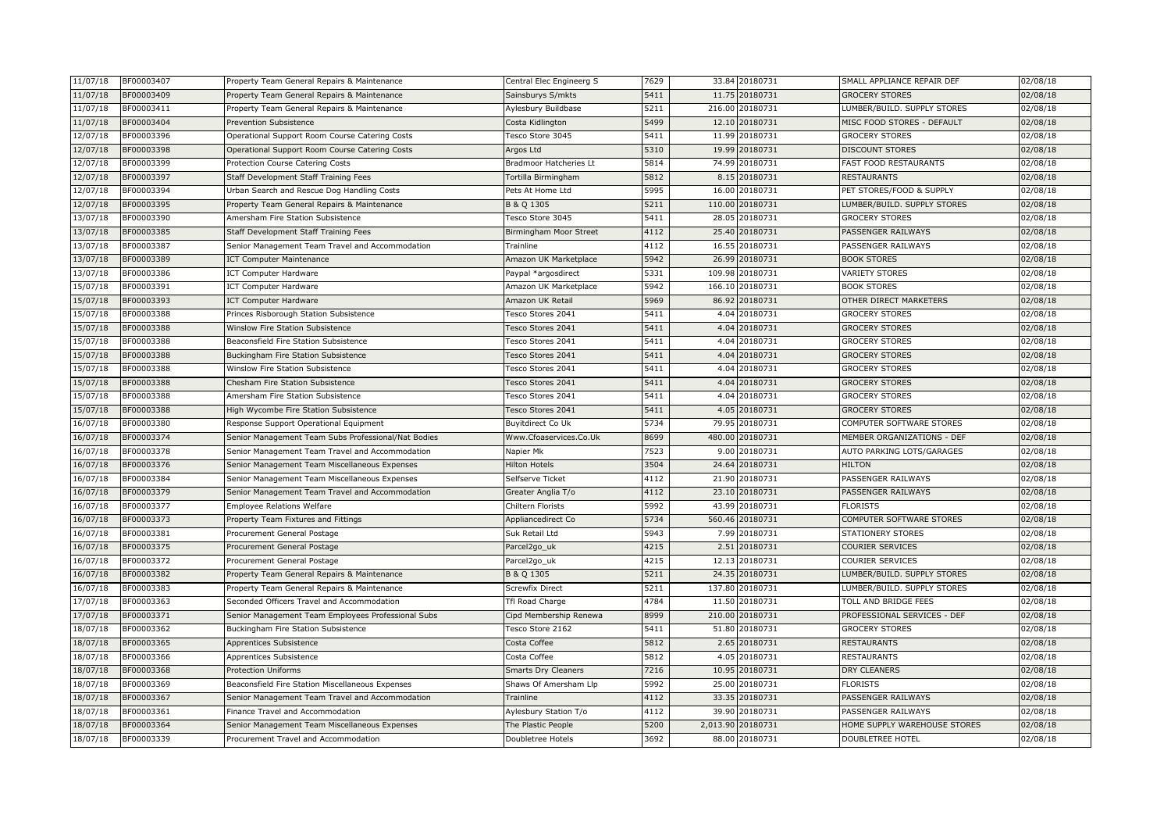| 11/07/18             | BF00003407               | Property Team General Repairs & Maintenance                                     | Central Elec Engineerg S                             | 7629         |          | 33.84 20180731            | SMALL APPLIANCE REPAIR DEF                     | 02/08/18             |
|----------------------|--------------------------|---------------------------------------------------------------------------------|------------------------------------------------------|--------------|----------|---------------------------|------------------------------------------------|----------------------|
| 11/07/18             | BF00003409               | Property Team General Repairs & Maintenance                                     | Sainsburys S/mkts                                    | 5411         |          | 11.75 20180731            | <b>GROCERY STORES</b>                          | 02/08/18             |
| 11/07/18             | BF00003411               | Property Team General Repairs & Maintenance                                     | Aylesbury Buildbase                                  | 5211         | 216.00   | 20180731                  | LUMBER/BUILD. SUPPLY STORES                    | 02/08/18             |
| 11/07/18             | BF00003404               | Prevention Subsistence                                                          | Costa Kidlington                                     | 5499         |          | 12.10 20180731            | MISC FOOD STORES - DEFAULT                     | 02/08/18             |
| 12/07/18             | BF00003396               | Operational Support Room Course Catering Costs                                  | <b>Tesco Store 3045</b>                              | 5411         |          | 11.99 20180731            | <b>GROCERY STORES</b>                          | 02/08/18             |
| 12/07/18             | BF00003398               | Operational Support Room Course Catering Costs                                  | Argos Ltd                                            | 5310         |          | 19.99 20180731            | <b>DISCOUNT STORES</b>                         | 02/08/18             |
| 12/07/18             | BF00003399               | Protection Course Catering Costs                                                | Bradmoor Hatcheries Lt                               | 5814         |          | 74.99 20180731            | FAST FOOD RESTAURANTS                          | 02/08/18             |
| 12/07/18             | BF00003397               | Staff Development Staff Training Fees                                           | Tortilla Birmingham                                  | 5812         |          | 8.15 20180731             | <b>RESTAURANTS</b>                             | 02/08/18             |
| 12/07/18             | BF00003394               | Urban Search and Rescue Dog Handling Costs                                      | Pets At Home Ltd                                     | 5995         | 16.00    | 20180731                  | PET STORES/FOOD & SUPPLY                       | 02/08/18             |
| 12/07/18             | BF00003395               | Property Team General Repairs & Maintenance                                     | B & Q 1305                                           | 5211         | 110.00   | 20180731                  | LUMBER/BUILD. SUPPLY STORES                    | 02/08/18             |
| 13/07/18             | BF00003390               | Amersham Fire Station Subsistence                                               | Tesco Store 3045                                     | 5411         | 28.05    | 20180731                  | <b>GROCERY STORES</b>                          | 02/08/18             |
| 13/07/18             | BF00003385               | Staff Development Staff Training Fees                                           | Birmingham Moor Street                               | 4112         | 25.40    | 20180731                  | PASSENGER RAILWAYS                             | 02/08/18             |
| 13/07/18             | BF00003387               | Senior Management Team Travel and Accommodation                                 | Trainline                                            | 4112         |          | 16.55 20180731            | PASSENGER RAILWAYS                             | 02/08/18             |
| 13/07/18             | BF00003389               | <b>ICT Computer Maintenance</b>                                                 | Amazon UK Marketplace                                | 5942         |          | 26.99 20180731            | <b>BOOK STORES</b>                             | 02/08/18             |
| 13/07/18             | BF00003386               | <b>ICT Computer Hardware</b>                                                    | Paypal *argosdirect                                  | 5331         |          | 109.98 20180731           | <b>VARIETY STORES</b>                          | 02/08/18             |
| 15/07/18             | BF00003391               | <b>ICT Computer Hardware</b>                                                    | Amazon UK Marketplace                                | 5942         |          | 166.10 20180731           | <b>BOOK STORES</b>                             | 02/08/18             |
| 15/07/18             | BF00003393               | <b>ICT Computer Hardware</b>                                                    | Amazon UK Retail                                     | 5969         |          | 86.92 20180731            | OTHER DIRECT MARKETERS                         | 02/08/18             |
| 15/07/18             | BF00003388               | Princes Risborough Station Subsistence                                          | <b>Tesco Stores 2041</b>                             | 5411         |          | 4.04 20180731             | <b>GROCERY STORES</b>                          | 02/08/18             |
| 15/07/18             | BF00003388               | Winslow Fire Station Subsistence                                                | esco Stores 2041                                     | 5411         | 4.04     | 20180731                  | <b>GROCERY STORES</b>                          | 02/08/18             |
| 15/07/18             | BF00003388               | Beaconsfield Fire Station Subsistence                                           | <b>Fesco Stores 2041</b>                             | 5411         | 4.04     | 20180731                  | <b>GROCERY STORES</b>                          | 02/08/18             |
| 15/07/18             | BF00003388<br>BF00003388 | Buckingham Fire Station Subsistence                                             | Tesco Stores 2041                                    | 5411<br>5411 |          | 4.04 20180731<br>20180731 | <b>GROCERY STORES</b><br><b>GROCERY STORES</b> | 02/08/18             |
| 15/07/18             |                          | Winslow Fire Station Subsistence                                                | Tesco Stores 2041                                    |              | 4.04     |                           |                                                | 02/08/18             |
| 15/07/18             | BF00003388<br>BF00003388 | <b>Chesham Fire Station Subsistence</b>                                         | <b>Tesco Stores 2041</b><br><b>Tesco Stores 2041</b> | 5411<br>5411 | 4.04     | 4.04 20180731<br>20180731 | <b>GROCERY STORES</b><br><b>GROCERY STORES</b> | 02/08/18             |
| 15/07/18<br>15/07/18 | BF00003388               | Amersham Fire Station Subsistence                                               | <b>Tesco Stores 2041</b>                             | 5411         |          | 4.05 20180731             | <b>GROCERY STORES</b>                          | 02/08/18             |
| 16/07/18             | BF00003380               | High Wycombe Fire Station Subsistence<br>Response Support Operational Equipment | Buyitdirect Co Uk                                    | 5734         |          | 79.95 20180731            | COMPUTER SOFTWARE STORES                       | 02/08/18<br>02/08/18 |
| 16/07/18             | BF00003374               | Senior Management Team Subs Professional/Nat Bodies                             | Www.Cfoaservices.Co.Uk                               | 8699         | 480.00   | 20180731                  | MEMBER ORGANIZATIONS - DEF                     | 02/08/18             |
| 16/07/18             | BF00003378               | Senior Management Team Travel and Accommodatior                                 | Napier Mk                                            | 7523         | 9.00     | 20180731                  | AUTO PARKING LOTS/GARAGES                      | 02/08/18             |
| 16/07/18             | BF00003376               | Senior Management Team Miscellaneous Expenses                                   | <b>Hilton Hotels</b>                                 | 3504         | 24.64    | 20180731                  | <b>HILTON</b>                                  | 02/08/18             |
| 16/07/18             | BF00003384               | Senior Management Team Miscellaneous Expenses                                   | Selfserve Ticket                                     | 4112         | 21.90    | 20180731                  | PASSENGER RAILWAYS                             | 02/08/18             |
| 16/07/18             | BF00003379               | Senior Management Team Travel and Accommodation                                 | Greater Anglia T/o                                   | 4112         | 23.10    | 20180731                  | PASSENGER RAILWAYS                             | 02/08/18             |
| 16/07/18             | BF00003377               | <b>Employee Relations Welfare</b>                                               | Chiltern Florists                                    | 5992         |          | 43.99 20180731            | <b>FLORISTS</b>                                | 02/08/18             |
| 16/07/18             | BF00003373               | Property Team Fixtures and Fittings                                             | Appliancedirect Co                                   | 5734         |          | 560.46 20180731           | COMPUTER SOFTWARE STORES                       | 02/08/18             |
| 16/07/18             | BF00003381               | Procurement General Postage                                                     | Suk Retail Ltd                                       | 5943         |          | 7.99 20180731             | <b>STATIONERY STORES</b>                       | 02/08/18             |
| 16/07/18             | BF00003375               | Procurement General Postage                                                     | Parcel <sub>2go_uk</sub>                             | 4215         |          | 2.51 20180731             | COURIER SERVICES                               | 02/08/18             |
| 16/07/18             | BF00003372               | Procurement General Postage                                                     | Parcel <sub>2go_uk</sub>                             | 4215         |          | 12.13 20180731            | COURIER SERVICES                               | 02/08/18             |
| 16/07/18             | BF00003382               | Property Team General Repairs & Maintenance                                     | B & Q 1305                                           | 5211         | 24.35    | 20180731                  | LUMBER/BUILD. SUPPLY STORES                    | 02/08/18             |
| 16/07/18             | BF00003383               | Property Team General Repairs & Maintenance                                     | Screwfix Direct                                      | 5211         | 137.80   | 20180731                  | LUMBER/BUILD. SUPPLY STORES                    | 02/08/18             |
| 17/07/18             | BF00003363               | Seconded Officers Travel and Accommodation                                      | Tfl Road Charge                                      | 4784         | 11.50    | 20180731                  | TOLL AND BRIDGE FEES                           | 02/08/18             |
| 17/07/18             | BF00003371               | Senior Management Team Employees Professional Subs                              | Cipd Membership Renewa                               | 8999         |          | 210.00 20180731           | PROFESSIONAL SERVICES - DEF                    | 02/08/18             |
| 18/07/18             | BF00003362               | Buckingham Fire Station Subsistence                                             | Tesco Store 2162                                     | 5411         |          | 51.80 20180731            | <b>GROCERY STORES</b>                          | 02/08/18             |
| 18/07/18             | BF00003365               | Apprentices Subsistence                                                         | Costa Coffee                                         | 5812         |          | 2.65 20180731             | <b>RESTAURANTS</b>                             | 02/08/18             |
| 18/07/18             | BF00003366               | Apprentices Subsistence                                                         | Costa Coffee                                         | 5812         |          | 4.05 20180731             | <b>RESTAURANTS</b>                             | 02/08/18             |
| 18/07/18             | BF00003368               | <b>Protection Uniforms</b>                                                      | <b>Smarts Dry Cleaners</b>                           | 7216         |          | 10.95 20180731            | DRY CLEANERS                                   | 02/08/18             |
| 18/07/18             | BF00003369               | Beaconsfield Fire Station Miscellaneous Expenses                                | Shaws Of Amersham Llp                                | 5992         | 25.00    | 20180731                  | <b>FLORISTS</b>                                | 02/08/18             |
| 18/07/18             | BF00003367               | Senior Management Team Travel and Accommodation                                 | Trainline                                            | 4112         |          | 33.35 20180731            | PASSENGER RAILWAYS                             | 02/08/18             |
| 18/07/18             | BF00003361               | Finance Travel and Accommodation                                                | Aylesbury Station T/o                                | 4112         | 39.90    | 20180731                  | PASSENGER RAILWAYS                             | 02/08/18             |
| 18/07/18             | BF00003364               | Senior Management Team Miscellaneous Expenses                                   | The Plastic People                                   | 5200         | 2,013.90 | 20180731                  | HOME SUPPLY WAREHOUSE STORES                   | 02/08/18             |
| 18/07/18             | BF00003339               | Procurement Travel and Accommodation                                            | Doubletree Hotels                                    | 3692         |          | 88.00 20180731            | DOUBLETREE HOTEL                               | 02/08/18             |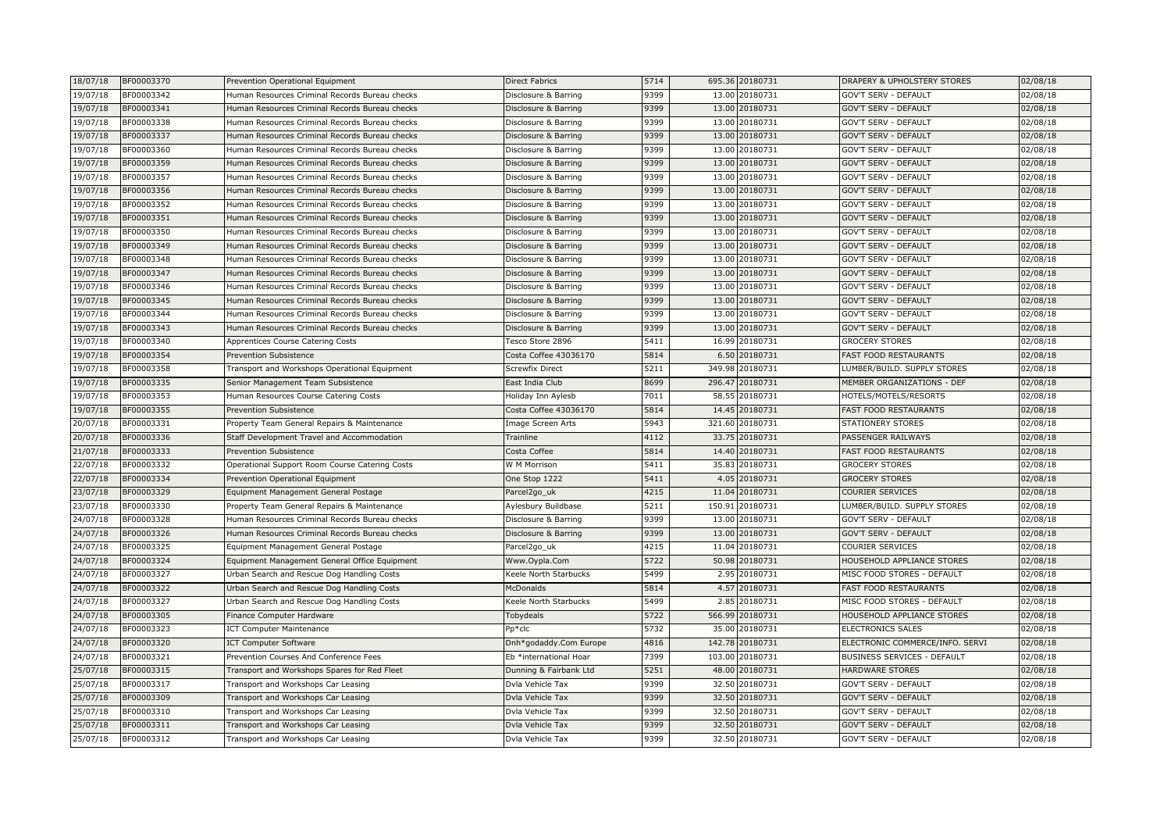| 18/07/18 | BF00003370 | Prevention Operational Equipment               | Direct Fabrics         | 5714 |        | 695.36 20180731 | DRAPERY & UPHOLSTERY STORES     | 02/08/18 |
|----------|------------|------------------------------------------------|------------------------|------|--------|-----------------|---------------------------------|----------|
| 19/07/18 | BF00003342 | Human Resources Criminal Records Bureau checks | Disclosure & Barring   | 9399 |        | 13.00 20180731  | <b>GOV'T SERV - DEFAULT</b>     | 02/08/18 |
| 19/07/18 | BF00003341 | Human Resources Criminal Records Bureau checks | Disclosure & Barring   | 9399 |        | 13.00 20180731  | <b>GOV'T SERV - DEFAULT</b>     | 02/08/18 |
| 19/07/18 | BF00003338 | Human Resources Criminal Records Bureau checks | Disclosure & Barring   | 9399 |        | 13.00 20180731  | <b>GOV'T SERV - DEFAULT</b>     | 02/08/18 |
| 19/07/18 | BF00003337 | Human Resources Criminal Records Bureau checks | Disclosure & Barring   | 9399 |        | 13.00 20180731  | <b>GOV'T SERV - DEFAULT</b>     | 02/08/18 |
| 19/07/18 | BF00003360 | Human Resources Criminal Records Bureau checks | Disclosure & Barring   | 9399 |        | 13.00 20180731  | <b>GOV'T SERV - DEFAULT</b>     | 02/08/18 |
| 19/07/18 | BF00003359 | Human Resources Criminal Records Bureau checks | Disclosure & Barring   | 9399 |        | 13.00 20180731  | GOV'T SERV - DEFAULT            | 02/08/18 |
| 19/07/18 | BF00003357 | Human Resources Criminal Records Bureau checks | Disclosure & Barring   | 9399 |        | 13.00 20180731  | GOV'T SERV - DEFAULT            | 02/08/18 |
| 19/07/18 | BF00003356 | Human Resources Criminal Records Bureau checks | Disclosure & Barring   | 9399 |        | 13.00 20180731  | <b>GOV'T SERV - DEFAULT</b>     | 02/08/18 |
| 19/07/18 | BF00003352 | Human Resources Criminal Records Bureau checks | Disclosure & Barring   | 9399 |        | 13.00 20180731  | <b>GOV'T SERV - DEFAULT</b>     | 02/08/18 |
| 19/07/18 | BF00003351 | Human Resources Criminal Records Bureau checks | Disclosure & Barring   | 9399 |        | 13.00 20180731  | <b>GOV'T SERV - DEFAULT</b>     | 02/08/18 |
| 19/07/18 | BF00003350 | Human Resources Criminal Records Bureau checks | Disclosure & Barring   | 9399 |        | 13.00 20180731  | GOV'T SERV - DEFAULT            | 02/08/18 |
| 19/07/18 | BF00003349 | Human Resources Criminal Records Bureau checks | Disclosure & Barring   | 9399 |        | 13.00 20180731  | <b>GOV'T SERV - DEFAULT</b>     | 02/08/18 |
| 19/07/18 | BF00003348 | Human Resources Criminal Records Bureau checks | Disclosure & Barring   | 9399 |        | 13.00 20180731  | <b>GOV'T SERV - DEFAULT</b>     | 02/08/18 |
| 19/07/18 | BF00003347 | Human Resources Criminal Records Bureau checks | Disclosure & Barring   | 9399 |        | 13.00 20180731  | <b>GOV'T SERV - DEFAULT</b>     | 02/08/18 |
| 19/07/18 | BF00003346 | Human Resources Criminal Records Bureau checks | Disclosure & Barring   | 9399 |        | 13.00 20180731  | <b>GOV'T SERV - DEFAULT</b>     | 02/08/18 |
| 19/07/18 | BF00003345 | Human Resources Criminal Records Bureau checks | Disclosure & Barring   | 9399 |        | 13.00 20180731  | <b>GOV'T SERV - DEFAULT</b>     | 02/08/18 |
| 19/07/18 | BF00003344 | Human Resources Criminal Records Bureau checks | Disclosure & Barring   | 9399 |        | 13.00 20180731  | <b>GOV'T SERV - DEFAULT</b>     | 02/08/18 |
| 19/07/18 | BF00003343 | Human Resources Criminal Records Bureau checks | Disclosure & Barring   | 9399 |        | 13.00 20180731  | <b>GOV'T SERV - DEFAULT</b>     | 02/08/18 |
| 19/07/18 | BF00003340 | Apprentices Course Catering Costs              | Tesco Store 2896       | 5411 |        | 16.99 20180731  | <b>GROCERY STORES</b>           | 02/08/18 |
| 19/07/18 | BF00003354 | Prevention Subsistence                         | Costa Coffee 43036170  | 5814 |        | 6.50 20180731   | <b>FAST FOOD RESTAURANTS</b>    | 02/08/18 |
| 19/07/18 | BF00003358 | Transport and Workshops Operational Equipment  | Screwfix Direct        | 5211 |        | 349.98 20180731 | LUMBER/BUILD. SUPPLY STORES     | 02/08/18 |
| 19/07/18 | BF00003335 | Senior Management Team Subsistence             | East India Club        | 8699 |        | 296.47 20180731 | MEMBER ORGANIZATIONS - DEF      | 02/08/18 |
| 19/07/18 | BF00003353 | Human Resources Course Catering Costs          | Holiday Inn Aylesb     | 7011 |        | 58.55 20180731  | HOTELS/MOTELS/RESORTS           | 02/08/18 |
| 19/07/18 | BF00003355 | Prevention Subsistence                         | Costa Coffee 43036170  | 5814 |        | 14.45 20180731  | <b>FAST FOOD RESTAURANTS</b>    | 02/08/18 |
| 20/07/18 | BF00003331 | Property Team General Repairs & Maintenance    | Image Screen Arts      | 5943 | 321.60 | 20180731        | <b>STATIONERY STORES</b>        | 02/08/18 |
| 20/07/18 | BF00003336 | Staff Development Travel and Accommodation     | Trainline              | 4112 |        | 33.75 20180731  | PASSENGER RAILWAYS              | 02/08/18 |
| 21/07/18 | BF00003333 | Prevention Subsistence                         | Costa Coffee           | 5814 |        | 14.40 20180731  | <b>FAST FOOD RESTAURANTS</b>    | 02/08/18 |
| 22/07/18 | BF00003332 | Operational Support Room Course Catering Costs | W M Morrison           | 5411 |        | 35.83 20180731  | <b>GROCERY STORES</b>           | 02/08/18 |
| 22/07/18 | BF00003334 | Prevention Operational Equipment               | One Stop 1222          | 5411 |        | 4.05 20180731   | <b>GROCERY STORES</b>           | 02/08/18 |
| 23/07/18 | BF00003329 | Equipment Management General Postage           | Parcel2go_uk           | 4215 | 11.04  | 20180731        | <b>COURIER SERVICES</b>         | 02/08/18 |
| 23/07/18 | BF00003330 | Property Team General Repairs & Maintenance    | Aylesbury Buildbase    | 5211 |        | 150.91 20180731 | LUMBER/BUILD. SUPPLY STORES     | 02/08/18 |
| 24/07/18 | BF00003328 | Human Resources Criminal Records Bureau checks | Disclosure & Barring   | 9399 |        | 13.00 20180731  | <b>GOV'T SERV - DEFAULT</b>     | 02/08/18 |
| 24/07/18 | BF00003326 | Human Resources Criminal Records Bureau checks | Disclosure & Barring   | 9399 |        | 13.00 20180731  | <b>GOV'T SERV - DEFAULT</b>     | 02/08/18 |
| 24/07/18 | BF00003325 | Equipment Management General Postage           | Parcel2go_uk           | 4215 |        | 11.04 20180731  | <b>COURIER SERVICES</b>         | 02/08/18 |
| 24/07/18 | BF00003324 | Equipment Management General Office Equipment  | Www.Oypla.Com          | 5722 |        | 50.98 20180731  | HOUSEHOLD APPLIANCE STORES      | 02/08/18 |
| 24/07/18 | BF00003327 | Urban Search and Rescue Dog Handling Costs     | Keele North Starbucks  | 5499 |        | 2.95 20180731   | MISC FOOD STORES - DEFAULT      | 02/08/18 |
| 24/07/18 | BF00003322 | Urban Search and Rescue Dog Handling Costs     | <b>McDonalds</b>       | 5814 |        | 4.57 20180731   | <b>FAST FOOD RESTAURANTS</b>    | 02/08/18 |
| 24/07/18 | BF00003327 | Urban Search and Rescue Dog Handling Costs     | Keele North Starbucks  | 5499 |        | 2.85 20180731   | MISC FOOD STORES - DEFAULT      | 02/08/18 |
| 24/07/18 | BF00003305 | Finance Computer Hardware                      | Tobydeals              | 5722 |        | 566.99 20180731 | HOUSEHOLD APPLIANCE STORES      | 02/08/18 |
| 24/07/18 | BF00003323 | <b>ICT Computer Maintenance</b>                | Pp*clc                 | 5732 |        | 35.00 20180731  | ELECTRONICS SALES               | 02/08/18 |
| 24/07/18 | BF00003320 | <b>ICT Computer Software</b>                   | Dnh*godaddy.Com Europe | 4816 |        | 142.78 20180731 | ELECTRONIC COMMERCE/INFO. SERVI | 02/08/18 |
| 24/07/18 | BF00003321 | Prevention Courses And Conference Fees         | Eb *international Hoar | 7399 |        | 103.00 20180731 | BUSINESS SERVICES - DEFAULT     | 02/08/18 |
| 25/07/18 | BF00003315 | Transport and Workshops Spares for Red Fleet   | Dunning & Fairbank Ltd | 5251 |        | 48.00 20180731  | <b>HARDWARE STORES</b>          | 02/08/18 |
| 25/07/18 | BF00003317 | Transport and Workshops Car Leasing            | Dvla Vehicle Tax       | 9399 |        | 32.50 20180731  | GOV'T SERV - DEFAULT            | 02/08/18 |
| 25/07/18 | BF00003309 | Transport and Workshops Car Leasing            | Dvla Vehicle Tax       | 9399 |        | 32.50 20180731  | <b>GOV'T SERV - DEFAULT</b>     | 02/08/18 |
| 25/07/18 | BF00003310 | Transport and Workshops Car Leasing            | Dvla Vehicle Tax       | 9399 |        | 32.50 20180731  | GOV'T SERV - DEFAULT            | 02/08/18 |
| 25/07/18 | BF00003311 | Transport and Workshops Car Leasing            | Dvla Vehicle Tax       | 9399 |        | 32.50 20180731  | <b>GOV'T SERV - DEFAULT</b>     | 02/08/18 |
| 25/07/18 | BF00003312 | Transport and Workshops Car Leasing            | Dvla Vehicle Tax       | 9399 |        | 32.50 20180731  | <b>GOV'T SERV - DEFAULT</b>     | 02/08/18 |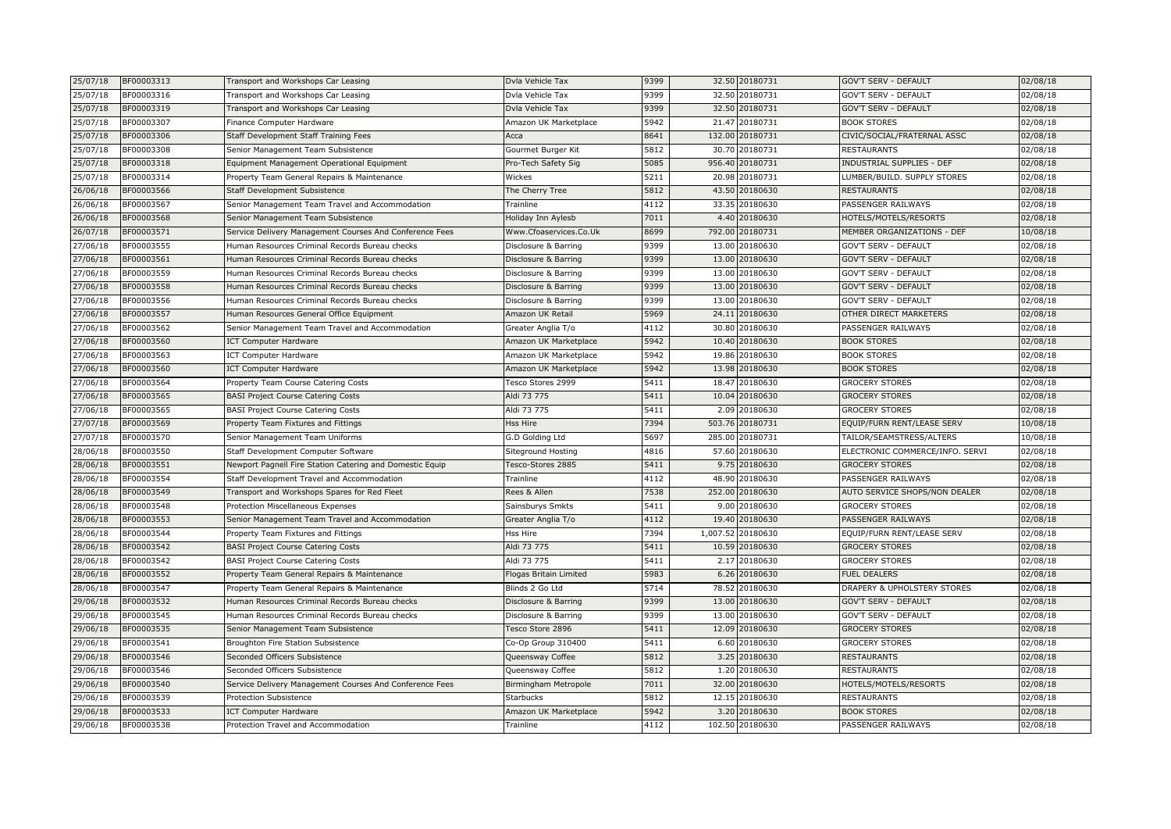| 25/07/18 | BF00003313 | Transport and Workshops Car Leasing                      | Dvla Vehicle Tax       | 9399 |        | 32.50 20180731    | GOV'T SERV - DEFAULT            | 02/08/18 |
|----------|------------|----------------------------------------------------------|------------------------|------|--------|-------------------|---------------------------------|----------|
| 25/07/18 | BF00003316 | Transport and Workshops Car Leasing                      | Dvla Vehicle Tax       | 9399 |        | 32.50 20180731    | GOV'T SERV - DEFAULT            | 02/08/18 |
| 25/07/18 | BF00003319 | Transport and Workshops Car Leasing                      | Dvla Vehicle Tax       | 9399 |        | 32.50 20180731    | GOV'T SERV - DEFAULT            | 02/08/18 |
| 25/07/18 | BF00003307 | Finance Computer Hardware                                | Amazon UK Marketplace  | 5942 | 21.47  | 20180731          | <b>BOOK STORES</b>              | 02/08/18 |
| 25/07/18 | BF00003306 | Staff Development Staff Training Fees                    | Acca                   | 8641 |        | 132.00 20180731   | CIVIC/SOCIAL/FRATERNAL ASSC     | 02/08/18 |
| 25/07/18 | BF00003308 | Senior Management Team Subsistence                       | Gourmet Burger Kit     | 5812 |        | 30.70 20180731    | <b>RESTAURANTS</b>              | 02/08/18 |
| 25/07/18 | BF00003318 | Equipment Management Operational Equipment               | Pro-Tech Safety Sig    | 5085 |        | 956.40 20180731   | INDUSTRIAL SUPPLIES - DEF       | 02/08/18 |
| 25/07/18 | BF00003314 | Property Team General Repairs & Maintenance              | Wickes                 | 5211 | 20.98  | 20180731          | LUMBER/BUILD. SUPPLY STORES     | 02/08/18 |
| 26/06/18 | BF00003566 | <b>Staff Development Subsistence</b>                     | The Cherry Tree        | 5812 |        | 43.50 20180630    | <b>RESTAURANTS</b>              | 02/08/18 |
| 26/06/18 | BF00003567 | Senior Management Team Travel and Accommodation          | Trainline              | 4112 |        | 33.35 20180630    | PASSENGER RAILWAYS              | 02/08/18 |
| 26/06/18 | BF00003568 | Senior Management Team Subsistence                       | Holiday Inn Aylesb     | 7011 |        | 4.40 20180630     | HOTELS/MOTELS/RESORTS           | 02/08/18 |
| 26/07/18 | BF00003571 | Service Delivery Management Courses And Conference Fees  | Www.Cfoaservices.Co.Uk | 8699 | 792.00 | 20180731          | MEMBER ORGANIZATIONS - DEF      | 10/08/18 |
| 27/06/18 | BF00003555 | Human Resources Criminal Records Bureau checks           | Disclosure & Barring   | 9399 |        | 13.00 20180630    | GOV'T SERV - DEFAULT            | 02/08/18 |
| 27/06/18 | BF00003561 | Human Resources Criminal Records Bureau checks           | Disclosure & Barring   | 9399 |        | 13.00 20180630    | <b>GOV'T SERV - DEFAULT</b>     | 02/08/18 |
| 27/06/18 | BF00003559 | Human Resources Criminal Records Bureau checks           | Disclosure & Barring   | 9399 |        | 13.00 20180630    | <b>GOV'T SERV - DEFAULT</b>     | 02/08/18 |
| 27/06/18 | BF00003558 | Human Resources Criminal Records Bureau checks           | Disclosure & Barring   | 9399 |        | 13.00 20180630    | GOV'T SERV - DEFAULT            | 02/08/18 |
| 27/06/18 | BF00003556 | Human Resources Criminal Records Bureau checks           | Disclosure & Barring   | 9399 | 13.00  | 20180630          | GOV'T SERV - DEFAULT            | 02/08/18 |
| 27/06/18 | BF00003557 | Human Resources General Office Equipment                 | Amazon UK Retail       | 5969 |        | 24.11 20180630    | OTHER DIRECT MARKETERS          | 02/08/18 |
| 27/06/18 | BF00003562 | Senior Management Team Travel and Accommodation          | Greater Anglia T/o     | 4112 | 30.80  | 20180630          | PASSENGER RAILWAYS              | 02/08/18 |
| 27/06/18 | BF00003560 | <b>ICT Computer Hardware</b>                             | Amazon UK Marketplace  | 5942 | 10.40  | 20180630          | <b>BOOK STORES</b>              | 02/08/18 |
| 27/06/18 | BF00003563 | <b>ICT Computer Hardware</b>                             | Amazon UK Marketplace  | 5942 |        | 19.86 20180630    | <b>BOOK STORES</b>              | 02/08/18 |
| 27/06/18 | BF00003560 | <b>ICT Computer Hardware</b>                             | Amazon UK Marketplace  | 5942 |        | 13.98 20180630    | <b>BOOK STORES</b>              | 02/08/18 |
| 27/06/18 | BF00003564 | Property Team Course Catering Costs                      | Tesco Stores 2999      | 5411 | 18.47  | 20180630          | <b>GROCERY STORES</b>           | 02/08/18 |
| 27/06/18 | BF00003565 | <b>BASI Project Course Catering Costs</b>                | Aldi 73 775            | 5411 |        | 10.04 20180630    | <b>GROCERY STORES</b>           | 02/08/18 |
| 27/06/18 | BF00003565 | <b>BASI Project Course Catering Costs</b>                | Aldi 73 775            | 5411 |        | 2.09 20180630     | <b>GROCERY STORES</b>           | 02/08/18 |
| 27/07/18 | BF00003569 | Property Team Fixtures and Fittings                      | Hss Hire               | 7394 |        | 503.76 20180731   | EQUIP/FURN RENT/LEASE SERV      | 10/08/18 |
| 27/07/18 | BF00003570 | Senior Management Team Uniforms                          | G.D Golding Ltd        | 5697 | 285.00 | 20180731          | TAILOR/SEAMSTRESS/ALTERS        | 10/08/18 |
| 28/06/18 | BF00003550 | Staff Development Computer Software                      | Siteground Hosting     | 4816 | 57.60  | 20180630          | ELECTRONIC COMMERCE/INFO. SERVI | 02/08/18 |
| 28/06/18 | BF00003551 | Newport Pagnell Fire Station Catering and Domestic Equip | Tesco-Stores 2885      | 5411 |        | 9.75 20180630     | <b>GROCERY STORES</b>           | 02/08/18 |
| 28/06/18 | BF00003554 | Staff Development Travel and Accommodation               | Trainline              | 4112 |        | 48.90 20180630    | PASSENGER RAILWAYS              | 02/08/18 |
| 28/06/18 | BF00003549 | Transport and Workshops Spares for Red Fleet             | Rees & Allen           | 7538 | 252.00 | 20180630          | AUTO SERVICE SHOPS/NON DEALER   | 02/08/18 |
| 28/06/18 | BF00003548 | Protection Miscellaneous Expenses                        | Sainsburys Smkts       | 5411 | 9.00   | 20180630          | <b>GROCERY STORES</b>           | 02/08/18 |
| 28/06/18 | BF00003553 | Senior Management Team Travel and Accommodation          | Greater Anglia T/o     | 4112 | 19.40  | 20180630          | PASSENGER RAILWAYS              | 02/08/18 |
| 28/06/18 | BF00003544 | Property Team Fixtures and Fittings                      | Hss Hire               | 7394 |        | 1,007.52 20180630 | EQUIP/FURN RENT/LEASE SERV      | 02/08/18 |
| 28/06/18 | BF00003542 | <b>BASI Project Course Catering Costs</b>                | Aldi 73 775            | 5411 | 10.59  | 20180630          | <b>GROCERY STORES</b>           | 02/08/18 |
| 28/06/18 | BF00003542 | <b>BASI Project Course Catering Costs</b>                | Aldi 73 775            | 5411 |        | 2.17 20180630     | <b>GROCERY STORES</b>           | 02/08/18 |
| 28/06/18 | BF00003552 | Property Team General Repairs & Maintenance              | Flogas Britain Limited | 5983 |        | 6.26 20180630     | <b>FUEL DEALERS</b>             | 02/08/18 |
| 28/06/18 | BF00003547 | Property Team General Repairs & Maintenance              | Blinds 2 Go Ltd        | 5714 |        | 78.52 20180630    | DRAPERY & UPHOLSTERY STORES     | 02/08/18 |
| 29/06/18 | BF00003532 | Human Resources Criminal Records Bureau checks           | Disclosure & Barring   | 9399 |        | 13.00 20180630    | GOV'T SERV - DEFAULT            | 02/08/18 |
| 29/06/18 | BF00003545 | Human Resources Criminal Records Bureau checks           | Disclosure & Barring   | 9399 | 13.00  | 20180630          | <b>GOV'T SERV - DEFAULT</b>     | 02/08/18 |
| 29/06/18 | BF00003535 | Senior Management Team Subsistence                       | Tesco Store 2896       | 5411 |        | 12.09 20180630    | <b>GROCERY STORES</b>           | 02/08/18 |
| 29/06/18 | BF00003541 | Broughton Fire Station Subsistence                       | Co-Op Group 310400     | 5411 | 6.60   | 20180630          | <b>GROCERY STORES</b>           | 02/08/18 |
| 29/06/18 | BF00003546 | Seconded Officers Subsistence                            | Queensway Coffee       | 5812 |        | 3.25 20180630     | RESTAURANTS                     | 02/08/18 |
| 29/06/18 | BF00003546 | Seconded Officers Subsistence                            | Queensway Coffee       | 5812 | 1.20   | 20180630          | RESTAURANTS                     | 02/08/18 |
| 29/06/18 | BF00003540 | Service Delivery Management Courses And Conference Fees  | Birmingham Metropole   | 7011 |        | 32.00 20180630    | HOTELS/MOTELS/RESORTS           | 02/08/18 |
| 29/06/18 | BF00003539 | Protection Subsistence                                   | Starbucks              | 5812 |        | 12.15 20180630    | RESTAURANTS                     | 02/08/18 |
| 29/06/18 | BF00003533 | <b>ICT Computer Hardware</b>                             | Amazon UK Marketplace  | 5942 |        | 3.20 20180630     | <b>BOOK STORES</b>              | 02/08/18 |
| 29/06/18 | BF00003538 | Protection Travel and Accommodation                      | Trainline              | 4112 |        | 102.50 20180630   | PASSENGER RAILWAYS              | 02/08/18 |